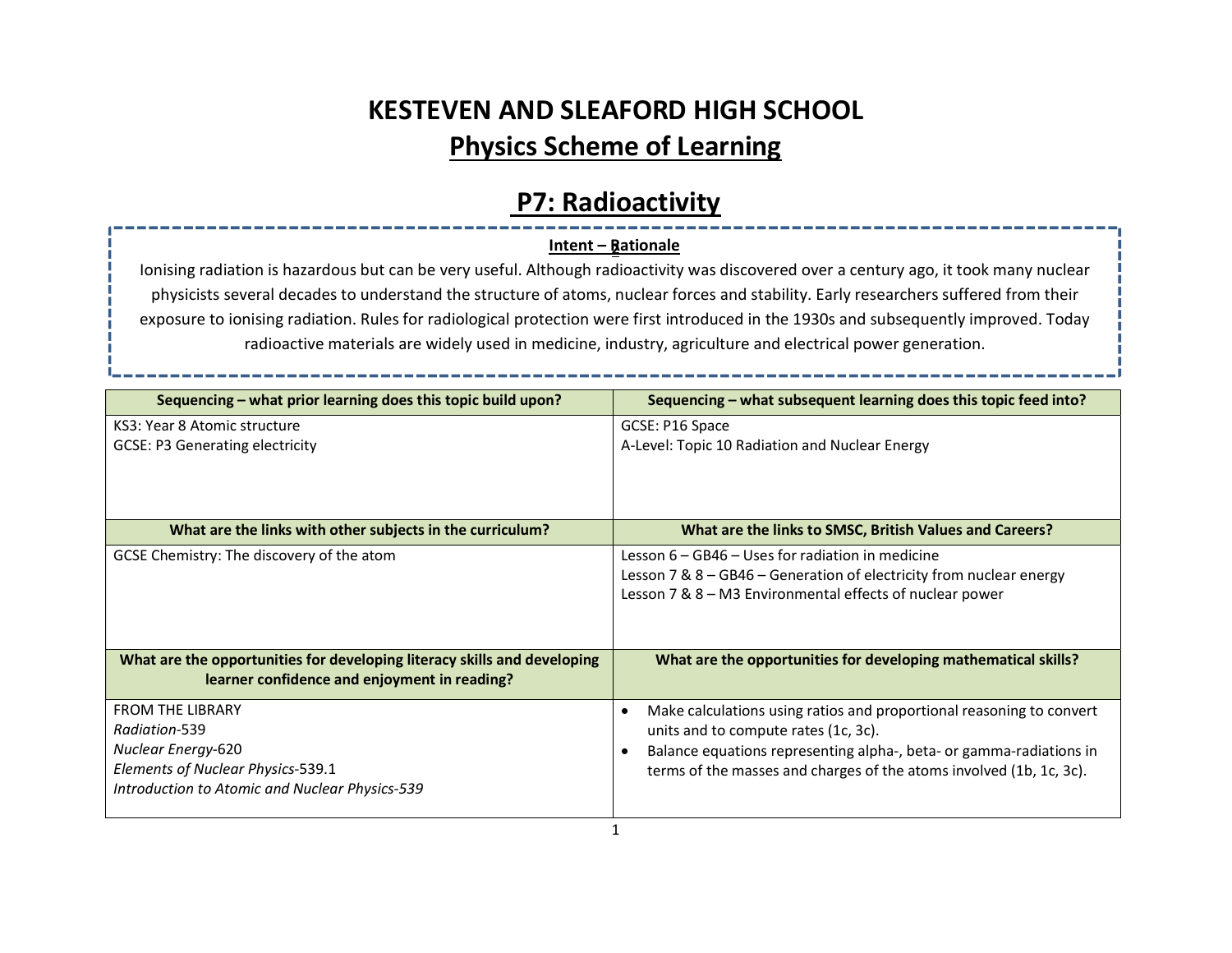# KESTEVEN AND SLEAFORD HIGH SCHOOL Physics Scheme of Learning

## P7: Radioactivity

### <u> Intent – Rationale</u>

Ionising radiation is hazardous but can be very useful. Although radioactivity was discovered over a century ago, it took many nuclear physicists several decades to understand the structure of atoms, nuclear forces and stability. Early researchers suffered from their exposure to ionising radiation. Rules for radiological protection were first introduced in the 1930s and subsequently improved. Today radioactive materials are widely used in medicine, industry, agriculture and electrical power generation.

| Sequencing – what prior learning does this topic build upon?                                                                                                 | Sequencing – what subsequent learning does this topic feed into?                                                                                                                                                                                                |
|--------------------------------------------------------------------------------------------------------------------------------------------------------------|-----------------------------------------------------------------------------------------------------------------------------------------------------------------------------------------------------------------------------------------------------------------|
| KS3: Year 8 Atomic structure<br><b>GCSE: P3 Generating electricity</b>                                                                                       | GCSE: P16 Space<br>A-Level: Topic 10 Radiation and Nuclear Energy                                                                                                                                                                                               |
| What are the links with other subjects in the curriculum?                                                                                                    | What are the links to SMSC, British Values and Careers?                                                                                                                                                                                                         |
| GCSE Chemistry: The discovery of the atom                                                                                                                    | Lesson 6 - GB46 - Uses for radiation in medicine<br>Lesson 7 & 8 - GB46 - Generation of electricity from nuclear energy<br>Lesson 7 & 8 - M3 Environmental effects of nuclear power                                                                             |
| What are the opportunities for developing literacy skills and developing<br>learner confidence and enjoyment in reading?                                     | What are the opportunities for developing mathematical skills?                                                                                                                                                                                                  |
| <b>FROM THE LIBRARY</b><br>Radiation-539<br><b>Nuclear Energy-620</b><br>Elements of Nuclear Physics-539.1<br>Introduction to Atomic and Nuclear Physics-539 | Make calculations using ratios and proportional reasoning to convert<br>٠<br>units and to compute rates (1c, 3c).<br>Balance equations representing alpha-, beta- or gamma-radiations in<br>terms of the masses and charges of the atoms involved (1b, 1c, 3c). |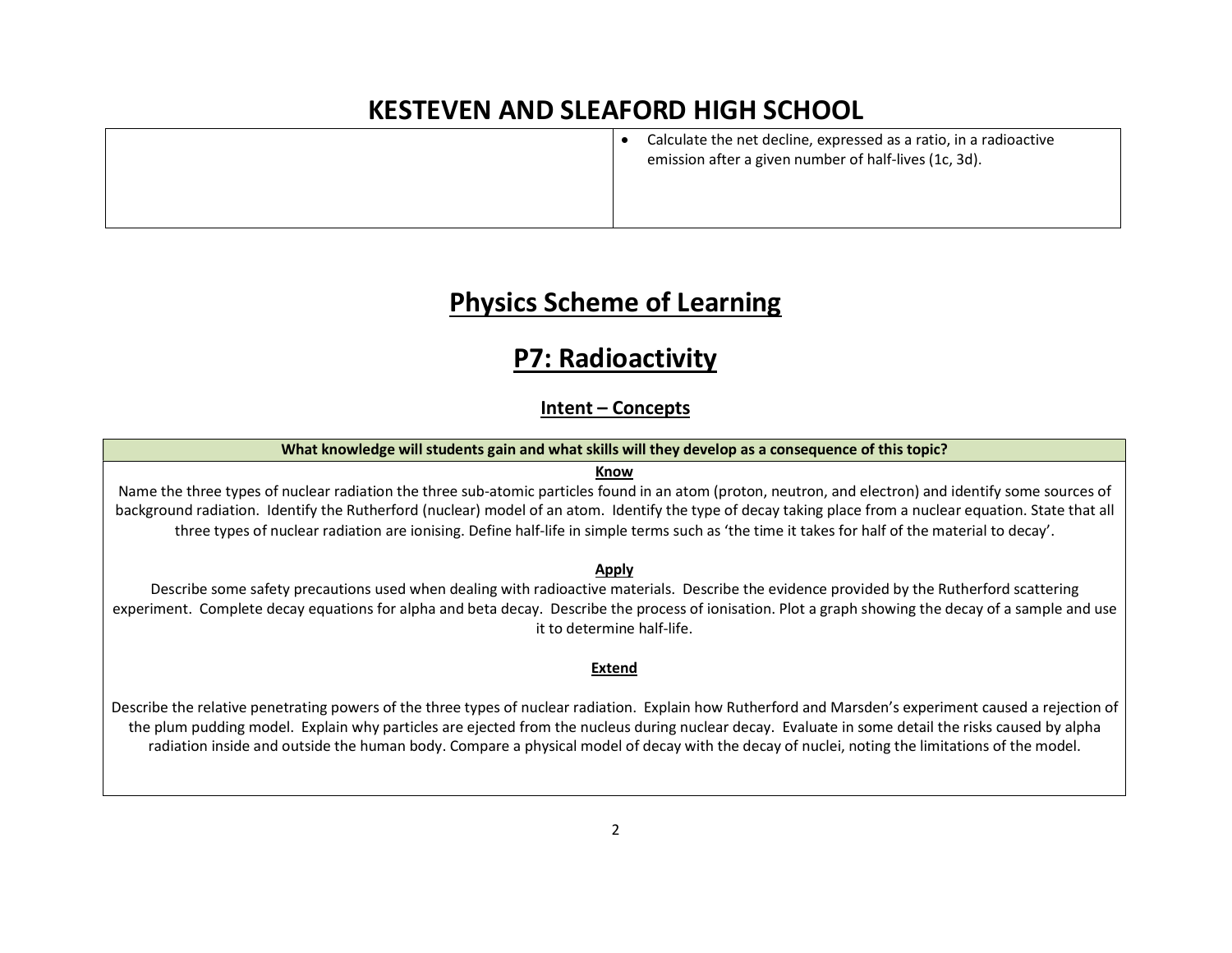Calculate the net decline, expressed as a ratio, in a radioactive emission after a given number of half-lives (1c, 3d).

### Physics Scheme of Learning

## P7: Radioactivity

### Intent – Concepts

#### What knowledge will students gain and what skills will they develop as a consequence of this topic?

#### Know

Name the three types of nuclear radiation the three sub-atomic particles found in an atom (proton, neutron, and electron) and identify some sources of background radiation. Identify the Rutherford (nuclear) model of an atom. Identify the type of decay taking place from a nuclear equation. State that all three types of nuclear radiation are ionising. Define half-life in simple terms such as 'the time it takes for half of the material to decay'.

#### Apply

Describe some safety precautions used when dealing with radioactive materials. Describe the evidence provided by the Rutherford scattering experiment. Complete decay equations for alpha and beta decay. Describe the process of ionisation. Plot a graph showing the decay of a sample and use it to determine half-life.

#### Extend

Describe the relative penetrating powers of the three types of nuclear radiation. Explain how Rutherford and Marsden's experiment caused a rejection of the plum pudding model. Explain why particles are ejected from the nucleus during nuclear decay. Evaluate in some detail the risks caused by alpha radiation inside and outside the human body. Compare a physical model of decay with the decay of nuclei, noting the limitations of the model.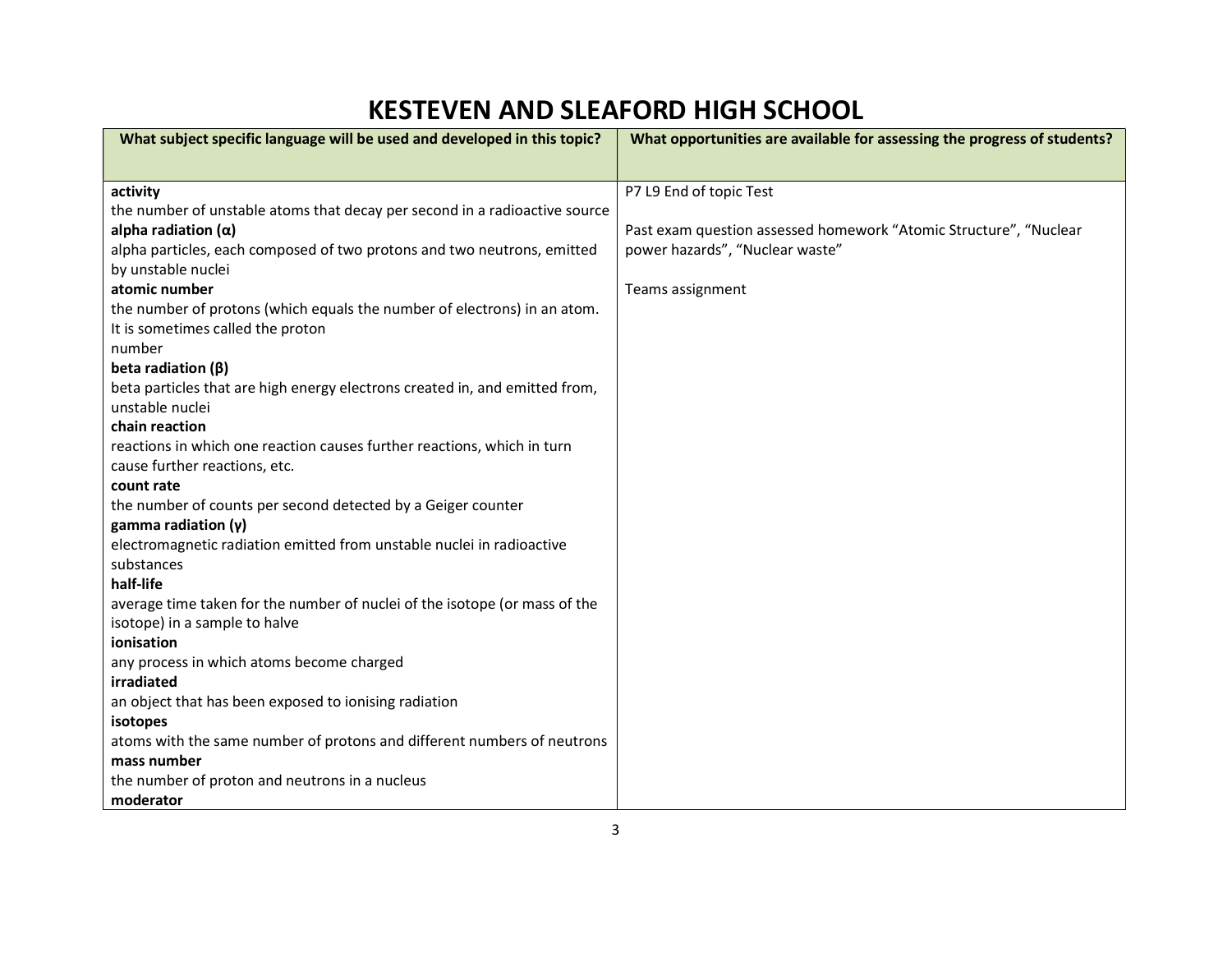| What subject specific language will be used and developed in this topic?            | What opportunities are available for assessing the progress of students? |
|-------------------------------------------------------------------------------------|--------------------------------------------------------------------------|
|                                                                                     |                                                                          |
| activity                                                                            | P7 L9 End of topic Test                                                  |
| the number of unstable atoms that decay per second in a radioactive source          |                                                                          |
| alpha radiation $(\alpha)$                                                          | Past exam question assessed homework "Atomic Structure", "Nuclear        |
| alpha particles, each composed of two protons and two neutrons, emitted             | power hazards", "Nuclear waste"                                          |
| by unstable nuclei                                                                  |                                                                          |
| atomic number                                                                       | Teams assignment                                                         |
| the number of protons (which equals the number of electrons) in an atom.            |                                                                          |
| It is sometimes called the proton                                                   |                                                                          |
| number                                                                              |                                                                          |
| beta radiation $(\beta)$                                                            |                                                                          |
| beta particles that are high energy electrons created in, and emitted from,         |                                                                          |
| unstable nuclei                                                                     |                                                                          |
| chain reaction                                                                      |                                                                          |
| reactions in which one reaction causes further reactions, which in turn             |                                                                          |
| cause further reactions, etc.                                                       |                                                                          |
| count rate                                                                          |                                                                          |
| the number of counts per second detected by a Geiger counter                        |                                                                          |
| gamma radiation $(y)$                                                               |                                                                          |
| electromagnetic radiation emitted from unstable nuclei in radioactive               |                                                                          |
| substances                                                                          |                                                                          |
| half-life                                                                           |                                                                          |
| average time taken for the number of nuclei of the isotope (or mass of the          |                                                                          |
| isotope) in a sample to halve                                                       |                                                                          |
| ionisation                                                                          |                                                                          |
| any process in which atoms become charged<br>irradiated                             |                                                                          |
|                                                                                     |                                                                          |
| an object that has been exposed to ionising radiation                               |                                                                          |
| isotopes<br>atoms with the same number of protons and different numbers of neutrons |                                                                          |
| mass number                                                                         |                                                                          |
| the number of proton and neutrons in a nucleus                                      |                                                                          |
| moderator                                                                           |                                                                          |
|                                                                                     |                                                                          |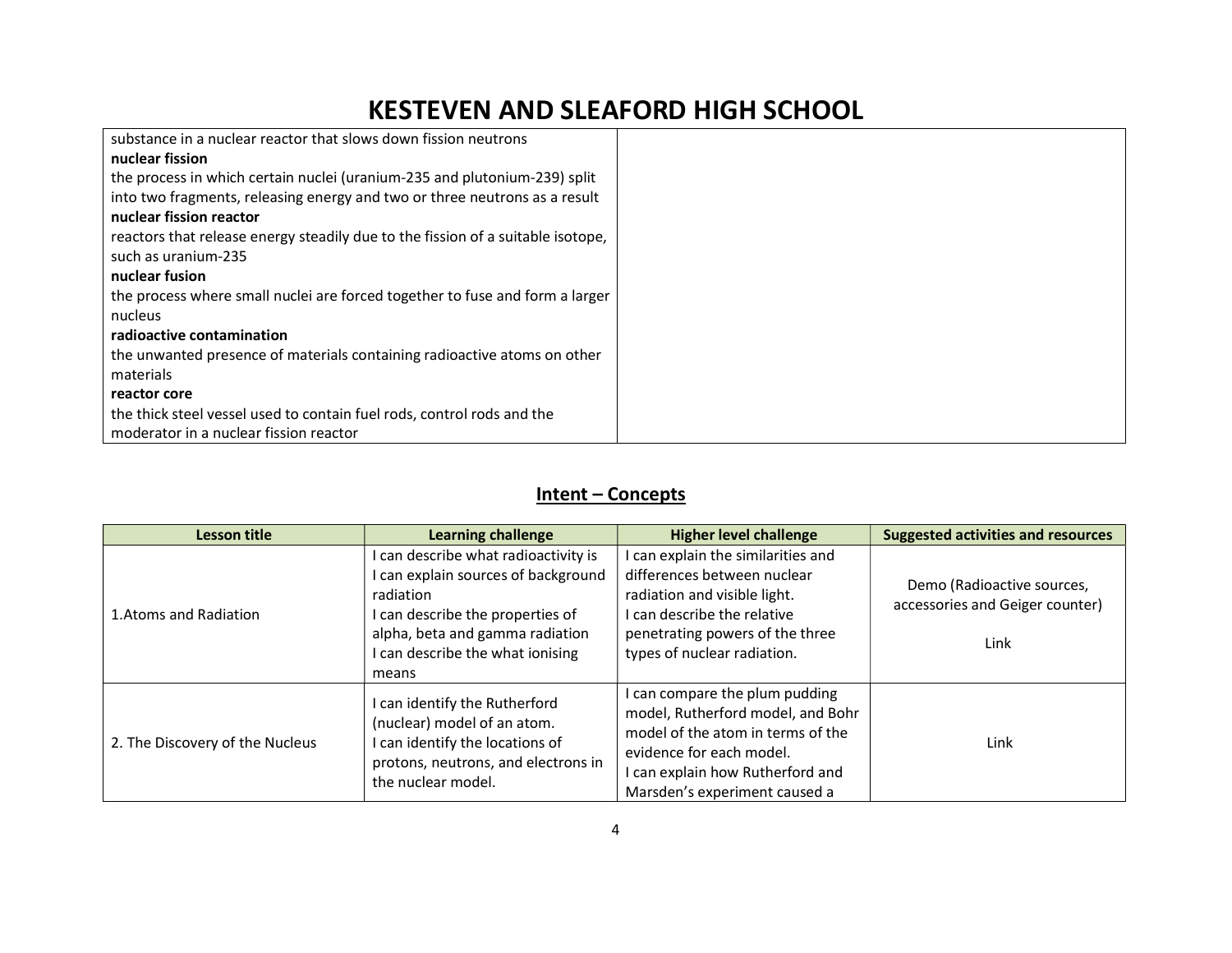| substance in a nuclear reactor that slows down fission neutrons                 |  |
|---------------------------------------------------------------------------------|--|
| nuclear fission                                                                 |  |
| the process in which certain nuclei (uranium-235 and plutonium-239) split       |  |
| into two fragments, releasing energy and two or three neutrons as a result      |  |
| nuclear fission reactor                                                         |  |
| reactors that release energy steadily due to the fission of a suitable isotope, |  |
| such as uranium-235                                                             |  |
| nuclear fusion                                                                  |  |
| the process where small nuclei are forced together to fuse and form a larger    |  |
| nucleus                                                                         |  |
| radioactive contamination                                                       |  |
| the unwanted presence of materials containing radioactive atoms on other        |  |
| materials                                                                       |  |
| reactor core                                                                    |  |
| the thick steel vessel used to contain fuel rods, control rods and the          |  |
| moderator in a nuclear fission reactor                                          |  |

### Intent – Concepts

| Lesson title                    | Learning challenge                                                                                                                                                                                           | <b>Higher level challenge</b>                                                                                                                                                                             | <b>Suggested activities and resources</b>                             |
|---------------------------------|--------------------------------------------------------------------------------------------------------------------------------------------------------------------------------------------------------------|-----------------------------------------------------------------------------------------------------------------------------------------------------------------------------------------------------------|-----------------------------------------------------------------------|
| 1. Atoms and Radiation          | I can describe what radioactivity is<br>I can explain sources of background<br>radiation<br>I can describe the properties of<br>alpha, beta and gamma radiation<br>I can describe the what ionising<br>means | I can explain the similarities and<br>differences between nuclear<br>radiation and visible light.<br>I can describe the relative<br>penetrating powers of the three<br>types of nuclear radiation.        | Demo (Radioactive sources,<br>accessories and Geiger counter)<br>Link |
| 2. The Discovery of the Nucleus | I can identify the Rutherford<br>(nuclear) model of an atom.<br>can identify the locations of<br>protons, neutrons, and electrons in<br>the nuclear model.                                                   | I can compare the plum pudding<br>model, Rutherford model, and Bohr<br>model of the atom in terms of the<br>evidence for each model.<br>I can explain how Rutherford and<br>Marsden's experiment caused a | Link                                                                  |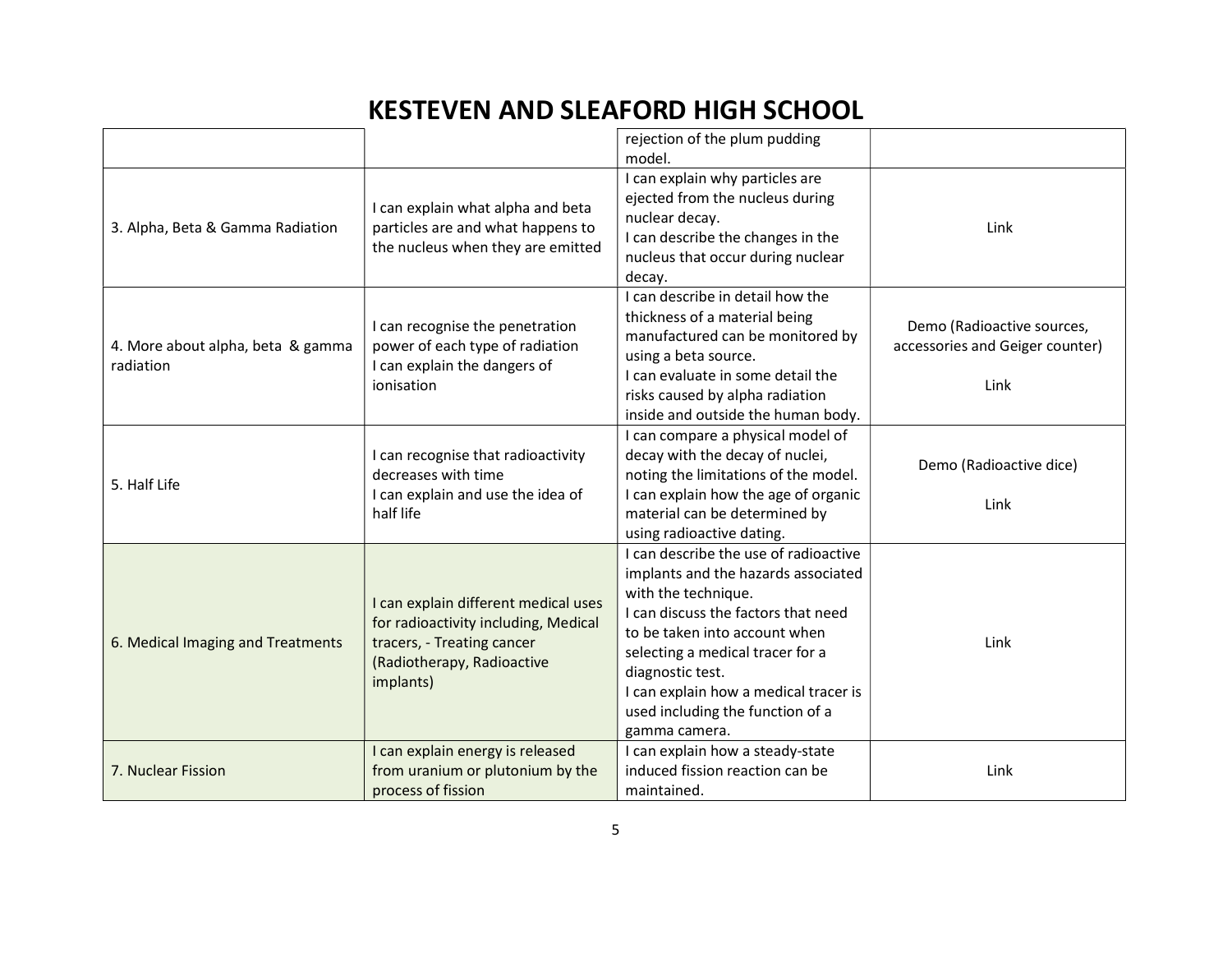|                                                |                                                                                                                                                       | rejection of the plum pudding<br>model.                                                                                                                                                                                                                                                                                           |                                                                       |
|------------------------------------------------|-------------------------------------------------------------------------------------------------------------------------------------------------------|-----------------------------------------------------------------------------------------------------------------------------------------------------------------------------------------------------------------------------------------------------------------------------------------------------------------------------------|-----------------------------------------------------------------------|
| 3. Alpha, Beta & Gamma Radiation               | I can explain what alpha and beta<br>particles are and what happens to<br>the nucleus when they are emitted                                           | I can explain why particles are<br>ejected from the nucleus during<br>nuclear decay.<br>I can describe the changes in the<br>nucleus that occur during nuclear<br>decay.                                                                                                                                                          | Link                                                                  |
| 4. More about alpha, beta & gamma<br>radiation | I can recognise the penetration<br>power of each type of radiation<br>I can explain the dangers of<br>ionisation                                      | I can describe in detail how the<br>thickness of a material being<br>manufactured can be monitored by<br>using a beta source.<br>I can evaluate in some detail the<br>risks caused by alpha radiation<br>inside and outside the human body.                                                                                       | Demo (Radioactive sources,<br>accessories and Geiger counter)<br>Link |
| 5. Half Life                                   | I can recognise that radioactivity<br>decreases with time<br>I can explain and use the idea of<br>half life                                           | I can compare a physical model of<br>decay with the decay of nuclei,<br>noting the limitations of the model.<br>I can explain how the age of organic<br>material can be determined by<br>using radioactive dating.                                                                                                                | Demo (Radioactive dice)<br>Link                                       |
| 6. Medical Imaging and Treatments              | I can explain different medical uses<br>for radioactivity including, Medical<br>tracers, - Treating cancer<br>(Radiotherapy, Radioactive<br>implants) | I can describe the use of radioactive<br>implants and the hazards associated<br>with the technique.<br>I can discuss the factors that need<br>to be taken into account when<br>selecting a medical tracer for a<br>diagnostic test.<br>I can explain how a medical tracer is<br>used including the function of a<br>gamma camera. | Link                                                                  |
| 7. Nuclear Fission                             | I can explain energy is released<br>from uranium or plutonium by the<br>process of fission                                                            | I can explain how a steady-state<br>induced fission reaction can be<br>maintained.                                                                                                                                                                                                                                                | Link                                                                  |